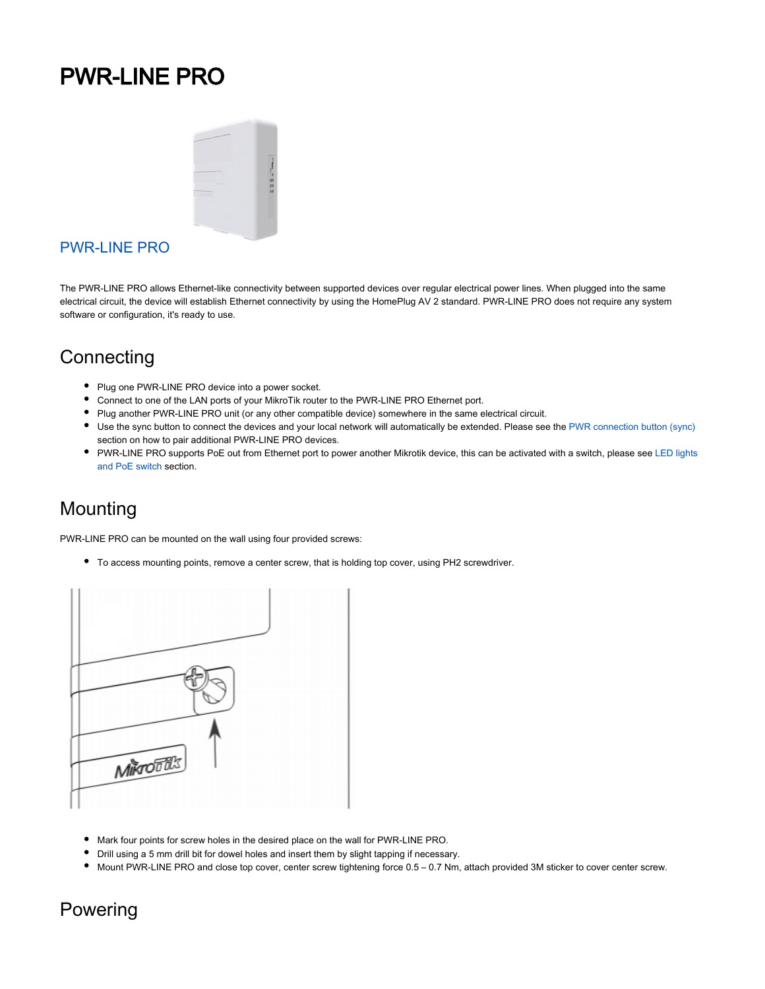# PWR-LINE PRO



#### [PWR-LINE PRO](https://mikrotik.com/product/pl7510gi)

The PWR-LINE PRO allows Ethernet-like connectivity between supported devices over regular electrical power lines. When plugged into the same electrical circuit, the device will establish Ethernet connectivity by using the HomePlug AV 2 standard. PWR-LINE PRO does not require any system software or configuration, it's ready to use.

#### **Connecting**

- Plug one PWR-LINE PRO device into a power socket.
- Connect to one of the LAN ports of your MikroTik router to the PWR-LINE PRO Ethernet port.
- Plug another PWR-LINE PRO unit (or any other compatible device) somewhere in the same electrical circuit.
- Use the sync button to connect the devices and your local network will automatically be extended. Please see the [PWR connection button \(sync\)](#page-1-0) section on how to pair additional PWR-LINE PRO devices.
- PWR-LINE PRO supports PoE out from Ethernet port to power another Mikrotik device, this can be activated with a switch, please see LED lights [and PoE switch](#page-1-1) section.

#### Mounting

PWR-LINE PRO can be mounted on the wall using four provided screws:

To access mounting points, remove a center screw, that is holding top cover, using PH2 screwdriver.



- Mark four points for screw holes in the desired place on the wall for PWR-LINE PRO.
- Drill using a 5 mm drill bit for dowel holes and insert them by slight tapping if necessary.
- Mount PWR-LINE PRO and close top cover, center screw tightening force 0.5 0.7 Nm, attach provided 3M sticker to cover center screw.

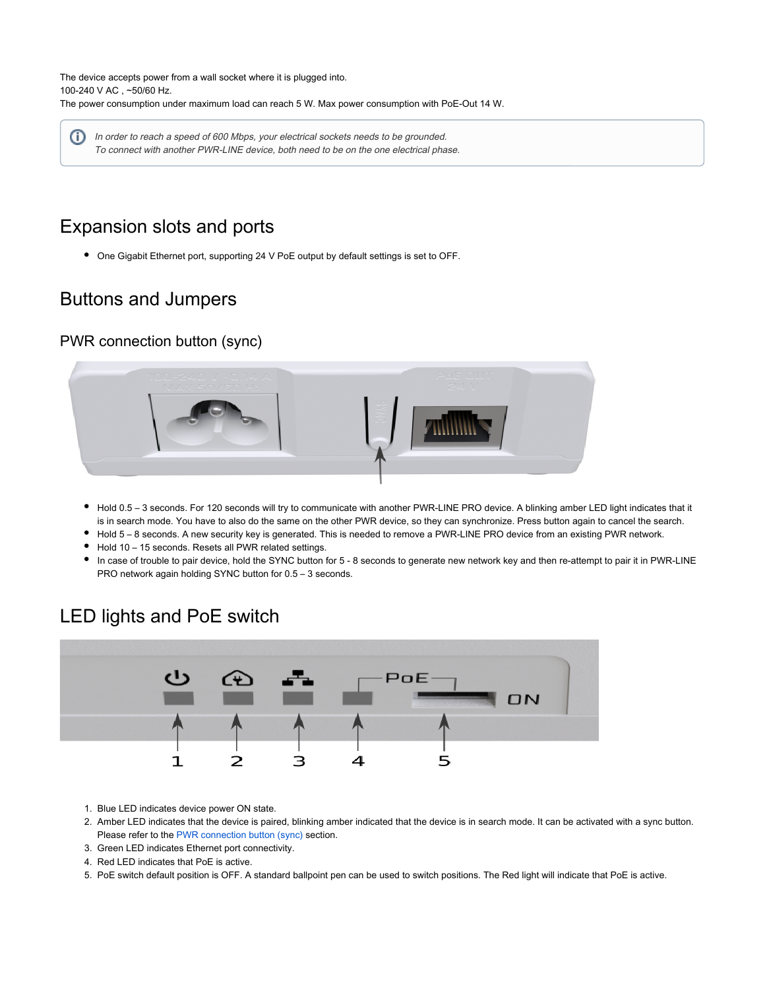The device accepts power from a wall socket where it is plugged into. 100-240 V AC , ~50/60 Hz. The power consumption under maximum load can reach 5 W. Max power consumption with PoE-Out 14 W.

⊕ In order to reach a speed of 600 Mbps, your electrical sockets needs to be grounded. To connect with another PWR-LINE device, both need to be on the one electrical phase.

# Expansion slots and ports

One Gigabit Ethernet port, supporting 24 V PoE output by default settings is set to OFF.

#### Buttons and Jumpers

#### <span id="page-1-0"></span>PWR connection button (sync)



- Hold 0.5 3 seconds. For 120 seconds will try to communicate with another PWR-LINE PRO device. A blinking amber LED light indicates that it is in search mode. You have to also do the same on the other PWR device, so they can synchronize. Press button again to cancel the search.
- Hold 5 8 seconds. A new security key is generated. This is needed to remove a PWR-LINE PRO device from an existing PWR network.
- Hold 10 15 seconds. Resets all PWR related settings.
- In case of trouble to pair device, hold the SYNC button for 5 8 seconds to generate new network key and then re-attempt to pair it in PWR-LINE PRO network again holding SYNC button for 0.5 – 3 seconds.

<span id="page-1-1"></span>

#### LED lights and PoE switch

- 1. Blue LED indicates device power ON state.
- 2. Amber LED indicates that the device is paired, blinking amber indicated that the device is in search mode. It can be activated with a sync button. Please refer to the [PWR connection button \(sync\)](#page-1-0) section.
- 3. Green LED indicates Ethernet port connectivity.
- 4. Red LED indicates that PoE is active.
- 5. PoE switch default position is OFF. A standard ballpoint pen can be used to switch positions. The Red light will indicate that PoE is active.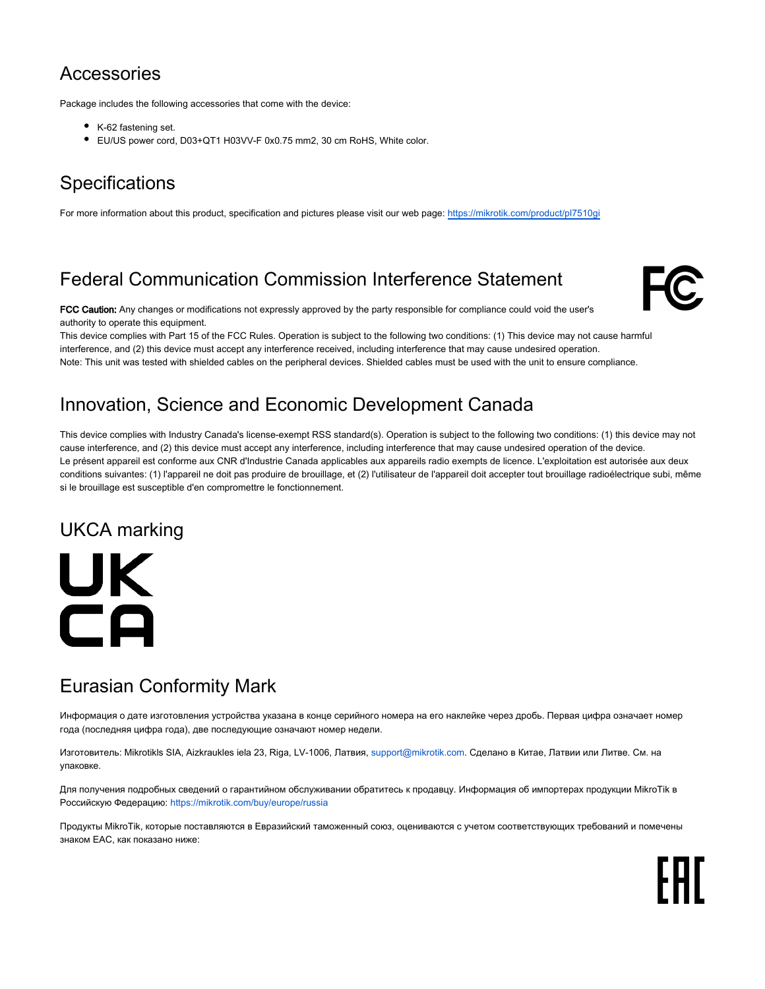#### **Accessories**

Package includes the following accessories that come with the device:

- K-62 fastening set.
- EU/US power cord, D03+QT1 H03VV-F 0x0.75 mm2, 30 cm RoHS, White color.

# **Specifications**

For more information about this product, specification and pictures please visit our web page:<https://mikrotik.com/product/pl7510gi>

# Federal Communication Commission Interference Statement



FCC Caution: Any changes or modifications not expressly approved by the party responsible for compliance could void the user's authority to operate this equipment.

This device complies with Part 15 of the FCC Rules. Operation is subject to the following two conditions: (1) This device may not cause harmful interference, and (2) this device must accept any interference received, including interference that may cause undesired operation. Note: This unit was tested with shielded cables on the peripheral devices. Shielded cables must be used with the unit to ensure compliance.

#### Innovation, Science and Economic Development Canada

This device complies with Industry Canada's license-exempt RSS standard(s). Operation is subject to the following two conditions: (1) this device may not cause interference, and (2) this device must accept any interference, including interference that may cause undesired operation of the device. Le présent appareil est conforme aux CNR d'Industrie Canada applicables aux appareils radio exempts de licence. L'exploitation est autorisée aux deux conditions suivantes: (1) l'appareil ne doit pas produire de brouillage, et (2) l'utilisateur de l'appareil doit accepter tout brouillage radioélectrique subi, même si le brouillage est susceptible d'en compromettre le fonctionnement.

### UKCA marking

UK CA

# Eurasian Conformity Mark

Информация о дате изготовления устройства указана в конце серийного номера на его наклейке через дробь. Первая цифра означает номер года (последняя цифра года), две последующие означают номер недели.

Изготовитель: Mikrotikls SIA, Aizkraukles iela 23, Riga, LV-1006, Латвия, [support@mikrotik.com.](mailto:support@mikrotik.com) Сделано в Китае, Латвии или Литве. Cм. на упаковке.

Для получения подробных сведений о гарантийном обслуживании обратитесь к продавцу. Информация об импортерах продукции MikroTik в Российскую Федерацию: <https://mikrotik.com/buy/europe/russia>

Продукты MikroTik, которые поставляются в Евразийский таможенный союз, оцениваются с учетом соответствующих требований и помечены знаком EAC, как показано ниже: